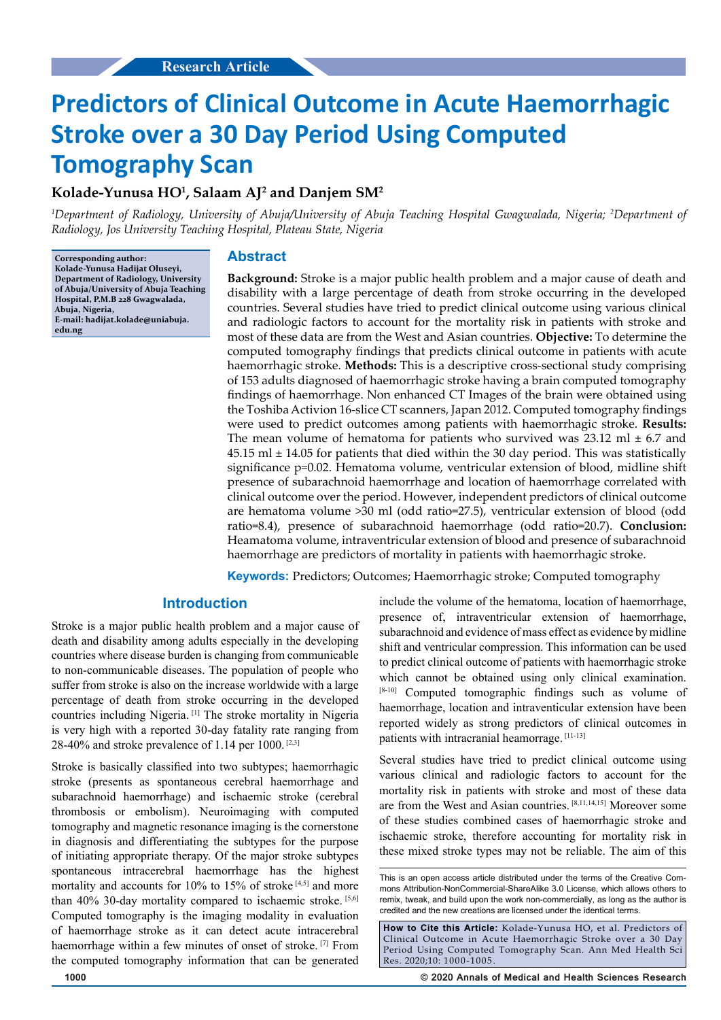# **Predictors of Clinical Outcome in Acute Haemorrhagic Stroke over a 30 Day Period Using Computed Tomography Scan**

## **Kolade-Yunusa HO1 , Salaam AJ2 and Danjem SM2**

*1 Department of Radiology, University of Abuja/University of Abuja Teaching Hospital Gwagwalada, Nigeria; 2 Department of Radiology, Jos University Teaching Hospital, Plateau State, Nigeria*

**Corresponding author: Kolade-Yunusa Hadijat Oluseyi, Department of Radiology, University of Abuja/University of Abuja Teaching Hospital, P.M.B 228 Gwagwalada, Abuja, Nigeria, E-mail: hadijat.kolade@uniabuja. edu.ng**

#### **Abstract**

**Background:** Stroke is a major public health problem and a major cause of death and disability with a large percentage of death from stroke occurring in the developed countries. Several studies have tried to predict clinical outcome using various clinical and radiologic factors to account for the mortality risk in patients with stroke and most of these data are from the West and Asian countries. **Objective:** To determine the computed tomography findings that predicts clinical outcome in patients with acute haemorrhagic stroke. **Methods:** This is a descriptive cross-sectional study comprising of 153 adults diagnosed of haemorrhagic stroke having a brain computed tomography findings of haemorrhage. Non enhanced CT Images of the brain were obtained using the Toshiba Activion 16-slice CT scanners, Japan 2012. Computed tomography findings were used to predict outcomes among patients with haemorrhagic stroke. **Results:**  The mean volume of hematoma for patients who survived was  $23.12 \text{ ml} \pm 6.7$  and  $45.15$  ml  $\pm$  14.05 for patients that died within the 30 day period. This was statistically significance p=0.02. Hematoma volume, ventricular extension of blood, midline shift presence of subarachnoid haemorrhage and location of haemorrhage correlated with clinical outcome over the period. However, independent predictors of clinical outcome are hematoma volume >30 ml (odd ratio=27.5), ventricular extension of blood (odd ratio=8.4), presence of subarachnoid haemorrhage (odd ratio=20.7). **Conclusion:**  Heamatoma volume, intraventricular extension of blood and presence of subarachnoid haemorrhage are predictors of mortality in patients with haemorrhagic stroke.

**Keywords:** Predictors; Outcomes; Haemorrhagic stroke; Computed tomography

## **Introduction**

Stroke is a major public health problem and a major cause of death and disability among adults especially in the developing countries where disease burden is changing from communicable to non-communicable diseases. The population of people who suffer from stroke is also on the increase worldwide with a large percentage of death from stroke occurring in the developed countries including Nigeria. [1] The stroke mortality in Nigeria is very high with a reported 30-day fatality rate ranging from 28-40% and stroke prevalence of 1.14 per 1000.  $[2,3]$ 

Stroke is basically classified into two subtypes; haemorrhagic stroke (presents as spontaneous cerebral haemorrhage and subarachnoid haemorrhage) and ischaemic stroke (cerebral thrombosis or embolism). Neuroimaging with computed tomography and magnetic resonance imaging is the cornerstone in diagnosis and differentiating the subtypes for the purpose of initiating appropriate therapy. Of the major stroke subtypes spontaneous intracerebral haemorrhage has the highest mortality and accounts for 10% to 15% of stroke<sup>[4,5]</sup> and more than 40% 30-day mortality compared to ischaemic stroke. [5,6] Computed tomography is the imaging modality in evaluation of haemorrhage stroke as it can detect acute intracerebral haemorrhage within a few minutes of onset of stroke. [7] From the computed tomography information that can be generated

include the volume of the hematoma, location of haemorrhage, presence of, intraventricular extension of haemorrhage, subarachnoid and evidence of mass effect as evidence by midline shift and ventricular compression. This information can be used to predict clinical outcome of patients with haemorrhagic stroke which cannot be obtained using only clinical examination. [8-10] Computed tomographic findings such as volume of haemorrhage, location and intraventicular extension have been reported widely as strong predictors of clinical outcomes in patients with intracranial heamorrage. [11-13]

Several studies have tried to predict clinical outcome using various clinical and radiologic factors to account for the mortality risk in patients with stroke and most of these data are from the West and Asian countries. [8,11,14,15] Moreover some of these studies combined cases of haemorrhagic stroke and ischaemic stroke, therefore accounting for mortality risk in these mixed stroke types may not be reliable. The aim of this

This is an open access article distributed under the terms of the Creative Commons Attribution‑NonCommercial‑ShareAlike 3.0 License, which allows others to remix, tweak, and build upon the work non-commercially, as long as the author is credited and the new creations are licensed under the identical terms.

**How to Cite this Article:** Kolade-Yunusa HO, et al. Predictors of Clinical Outcome in Acute Haemorrhagic Stroke over a 30 Day Period Using Computed Tomography Scan. Ann Med Health Sci Res. 2020;10: 1000-1005.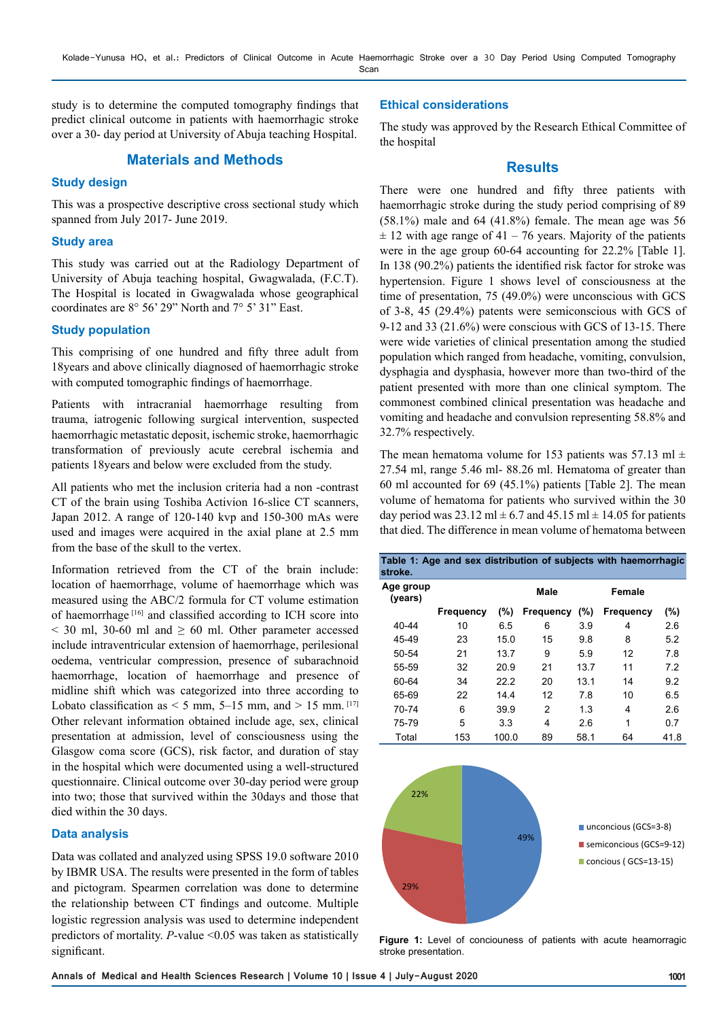study is to determine the computed tomography findings that predict clinical outcome in patients with haemorrhagic stroke over a 30- day period at University of Abuja teaching Hospital.

## **Materials and Methods**

#### **Study design**

This was a prospective descriptive cross sectional study which spanned from July 2017- June 2019.

#### **Study area**

This study was carried out at the Radiology Department of University of Abuja teaching hospital, Gwagwalada, (F.C.T). The Hospital is located in Gwagwalada whose geographical coordinates are 8° 56' 29" North and 7° 5' 31" East.

#### **Study population**

This comprising of one hundred and fifty three adult from 18years and above clinically diagnosed of haemorrhagic stroke with computed tomographic findings of haemorrhage.

Patients with intracranial haemorrhage resulting from trauma, iatrogenic following surgical intervention, suspected haemorrhagic metastatic deposit, ischemic stroke, haemorrhagic transformation of previously acute cerebral ischemia and patients 18years and below were excluded from the study.

All patients who met the inclusion criteria had a non -contrast CT of the brain using Toshiba Activion 16-slice CT scanners, Japan 2012. A range of 120-140 kvp and 150-300 mAs were used and images were acquired in the axial plane at 2.5 mm from the base of the skull to the vertex.

Information retrieved from the CT of the brain include: location of haemorrhage, volume of haemorrhage which was measured using the ABC/2 formula for CT volume estimation of haemorrhage [16] and classified according to ICH score into  $\leq$  30 ml, 30-60 ml and  $\geq$  60 ml. Other parameter accessed include intraventricular extension of haemorrhage, perilesional oedema, ventricular compression, presence of subarachnoid haemorrhage, location of haemorrhage and presence of midline shift which was categorized into three according to Lobato classification as  $<$  5 mm, 5–15 mm, and  $>$  15 mm. [17] Other relevant information obtained include age, sex, clinical presentation at admission, level of consciousness using the Glasgow coma score (GCS), risk factor, and duration of stay in the hospital which were documented using a well-structured questionnaire. Clinical outcome over 30-day period were group into two; those that survived within the 30days and those that died within the 30 days.

#### **Data analysis**

Data was collated and analyzed using SPSS 19.0 software 2010 by IBMR USA. The results were presented in the form of tables and pictogram. Spearmen correlation was done to determine the relationship between CT findings and outcome. Multiple logistic regression analysis was used to determine independent predictors of mortality. *P*-value <0.05 was taken as statistically significant.

#### **Ethical considerations**

The study was approved by the Research Ethical Committee of the hospital

### **Results**

There were one hundred and fifty three patients with haemorrhagic stroke during the study period comprising of 89  $(58.1\%)$  male and 64  $(41.8\%)$  female. The mean age was 56  $\pm$  12 with age range of 41 – 76 years. Majority of the patients were in the age group 60-64 accounting for 22.2% [Table 1]. In 138 (90.2%) patients the identified risk factor for stroke was hypertension. Figure 1 shows level of consciousness at the time of presentation, 75 (49.0%) were unconscious with GCS of 3-8, 45 (29.4%) patents were semiconscious with GCS of 9-12 and 33 (21.6%) were conscious with GCS of 13-15. There were wide varieties of clinical presentation among the studied population which ranged from headache, vomiting, convulsion, dysphagia and dysphasia, however more than two-third of the patient presented with more than one clinical symptom. The commonest combined clinical presentation was headache and vomiting and headache and convulsion representing 58.8% and 32.7% respectively.

The mean hematoma volume for 153 patients was 57.13 ml  $\pm$ 27.54 ml, range 5.46 ml- 88.26 ml. Hematoma of greater than 60 ml accounted for 69 (45.1%) patients [Table 2]. The mean volume of hematoma for patients who survived within the 30 day period was  $23.12 \text{ ml} \pm 6.7 \text{ and } 45.15 \text{ ml} \pm 14.05 \text{ for patients}$ that died. The difference in mean volume of hematoma between

| Table 1: Age and sex distribution of subjects with haemorrhagic<br>stroke. |                  |       |           |         |                  |      |  |  |
|----------------------------------------------------------------------------|------------------|-------|-----------|---------|------------------|------|--|--|
| Age group<br>(years)                                                       |                  |       | Male      | Female  |                  |      |  |  |
|                                                                            | <b>Frequency</b> | (%)   | Frequency | $(\% )$ | <b>Frequency</b> | (%)  |  |  |
| 40-44                                                                      | 10               | 6.5   | 6         | 3.9     | 4                | 2.6  |  |  |
| 45-49                                                                      | 23               | 15.0  | 15        | 9.8     | 8                | 5.2  |  |  |
| 50-54                                                                      | 21               | 13.7  | 9         | 5.9     | 12               | 7.8  |  |  |
| 55-59                                                                      | 32               | 20.9  | 21        | 13.7    | 11               | 7.2  |  |  |
| 60-64                                                                      | 34               | 22.2  | 20        | 13.1    | 14               | 9.2  |  |  |
| 65-69                                                                      | 22               | 14.4  | 12        | 7.8     | 10               | 6.5  |  |  |
| 70-74                                                                      | 6                | 39.9  | 2         | 1.3     | 4                | 2.6  |  |  |
| $75 - 79$                                                                  | 5                | 3.3   | 4         | 2.6     | 1                | 0.7  |  |  |
| Total                                                                      | 153              | 100.0 | 89        | 58.1    | 64               | 41.8 |  |  |



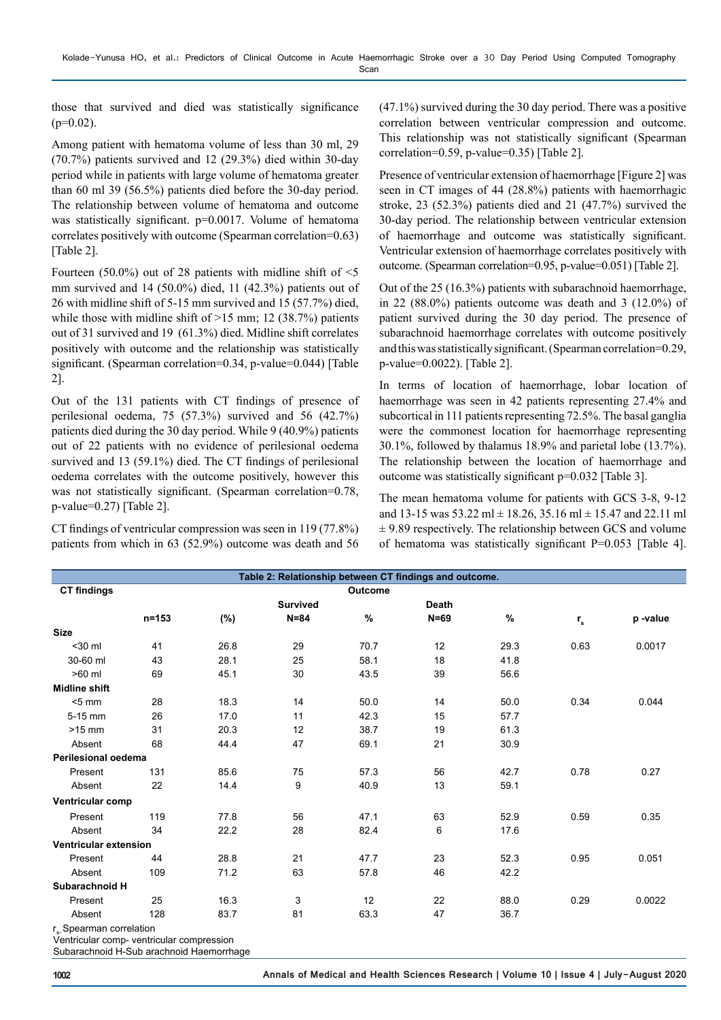those that survived and died was statistically significance  $(p=0.02)$ .

Among patient with hematoma volume of less than 30 ml, 29 (70.7%) patients survived and 12 (29.3%) died within 30-day period while in patients with large volume of hematoma greater than 60 ml 39 (56.5%) patients died before the 30-day period. The relationship between volume of hematoma and outcome was statistically significant. p=0.0017. Volume of hematoma correlates positively with outcome (Spearman correlation=0.63) [Table 2].

Fourteen (50.0%) out of 28 patients with midline shift of  $\leq$ 5 mm survived and 14 (50.0%) died, 11 (42.3%) patients out of 26 with midline shift of 5-15 mm survived and 15 (57.7%) died, while those with midline shift of  $>15$  mm; 12 (38.7%) patients out of 31 survived and 19 (61.3%) died. Midline shift correlates positively with outcome and the relationship was statistically significant. (Spearman correlation=0.34, p-value=0.044) [Table 2].

Out of the 131 patients with CT findings of presence of perilesional oedema, 75 (57.3%) survived and 56 (42.7%) patients died during the 30 day period. While 9 (40.9%) patients out of 22 patients with no evidence of perilesional oedema survived and 13 (59.1%) died. The CT findings of perilesional oedema correlates with the outcome positively, however this was not statistically significant. (Spearman correlation=0.78, p-value=0.27) [Table 2].

CT findings of ventricular compression was seen in 119 (77.8%) patients from which in 63 (52.9%) outcome was death and 56 (47.1%) survived during the 30 day period. There was a positive correlation between ventricular compression and outcome. This relationship was not statistically significant (Spearman correlation=0.59, p-value=0.35) [Table 2].

Presence of ventricular extension of haemorrhage [Figure 2] was seen in CT images of 44 (28.8%) patients with haemorrhagic stroke, 23 (52.3%) patients died and 21 (47.7%) survived the 30-day period. The relationship between ventricular extension of haemorrhage and outcome was statistically significant. Ventricular extension of haemorrhage correlates positively with outcome. (Spearman correlation=0.95, p-value=0.051) [Table 2].

Out of the 25 (16.3%) patients with subarachnoid haemorrhage, in 22 (88.0%) patients outcome was death and 3 (12.0%) of patient survived during the 30 day period. The presence of subarachnoid haemorrhage correlates with outcome positively and this was statistically significant. (Spearman correlation=0.29, p-value=0.0022). [Table 2].

In terms of location of haemorrhage, lobar location of haemorrhage was seen in 42 patients representing 27.4% and subcortical in 111 patients representing 72.5%. The basal ganglia were the commonest location for haemorrhage representing 30.1%, followed by thalamus 18.9% and parietal lobe (13.7%). The relationship between the location of haemorrhage and outcome was statistically significant p=0.032 [Table 3].

The mean hematoma volume for patients with GCS 3-8, 9-12 and 13-15 was  $53.22$  ml  $\pm$  18.26, 35.16 ml  $\pm$  15.47 and 22.11 ml  $\pm$  9.89 respectively. The relationship between GCS and volume of hematoma was statistically significant P=0.053 [Table 4].

|                                                                                |           |      | Table 2: Relationship between CT findings and outcome. |         |              |      |                           |         |
|--------------------------------------------------------------------------------|-----------|------|--------------------------------------------------------|---------|--------------|------|---------------------------|---------|
| <b>CT findings</b>                                                             |           |      |                                                        | Outcome |              |      |                           |         |
|                                                                                |           |      | <b>Survived</b>                                        |         | <b>Death</b> |      |                           |         |
|                                                                                | $n = 153$ | (%)  | $N = 84$                                               | $\%$    | $N=69$       | %    | $\mathbf{r}_{\mathbf{s}}$ | p-value |
| <b>Size</b>                                                                    |           |      |                                                        |         |              |      |                           |         |
| $30$ ml                                                                        | 41        | 26.8 | 29                                                     | 70.7    | 12           | 29.3 | 0.63                      | 0.0017  |
| 30-60 ml                                                                       | 43        | 28.1 | 25                                                     | 58.1    | 18           | 41.8 |                           |         |
| $>60$ ml                                                                       | 69        | 45.1 | 30                                                     | 43.5    | 39           | 56.6 |                           |         |
| <b>Midline shift</b>                                                           |           |      |                                                        |         |              |      |                           |         |
| $< 5$ mm                                                                       | 28        | 18.3 | 14                                                     | 50.0    | 14           | 50.0 | 0.34                      | 0.044   |
| 5-15 mm                                                                        | 26        | 17.0 | 11                                                     | 42.3    | 15           | 57.7 |                           |         |
| $>15$ mm                                                                       | 31        | 20.3 | 12                                                     | 38.7    | 19           | 61.3 |                           |         |
| Absent                                                                         | 68        | 44.4 | 47                                                     | 69.1    | 21           | 30.9 |                           |         |
| <b>Perilesional oedema</b>                                                     |           |      |                                                        |         |              |      |                           |         |
| Present                                                                        | 131       | 85.6 | 75                                                     | 57.3    | 56           | 42.7 | 0.78                      | 0.27    |
| Absent                                                                         | 22        | 14.4 | 9                                                      | 40.9    | 13           | 59.1 |                           |         |
| Ventricular comp                                                               |           |      |                                                        |         |              |      |                           |         |
| Present                                                                        | 119       | 77.8 | 56                                                     | 47.1    | 63           | 52.9 | 0.59                      | 0.35    |
| Absent                                                                         | 34        | 22.2 | 28                                                     | 82.4    | 6            | 17.6 |                           |         |
| Ventricular extension                                                          |           |      |                                                        |         |              |      |                           |         |
| Present                                                                        | 44        | 28.8 | 21                                                     | 47.7    | 23           | 52.3 | 0.95                      | 0.051   |
| Absent                                                                         | 109       | 71.2 | 63                                                     | 57.8    | 46           | 42.2 |                           |         |
| Subarachnoid H                                                                 |           |      |                                                        |         |              |      |                           |         |
| Present                                                                        | 25        | 16.3 | 3                                                      | 12      | 22           | 88.0 | 0.29                      | 0.0022  |
| Absent                                                                         | 128       | 83.7 | 81                                                     | 63.3    | 47           | 36.7 |                           |         |
| r <sub>s</sub> Spearman correlation<br>Ventriquier computering les compression |           |      |                                                        |         |              |      |                           |         |

Ventricular comp- ventricular compression

Subarachnoid H-Sub arachnoid Haemorrhage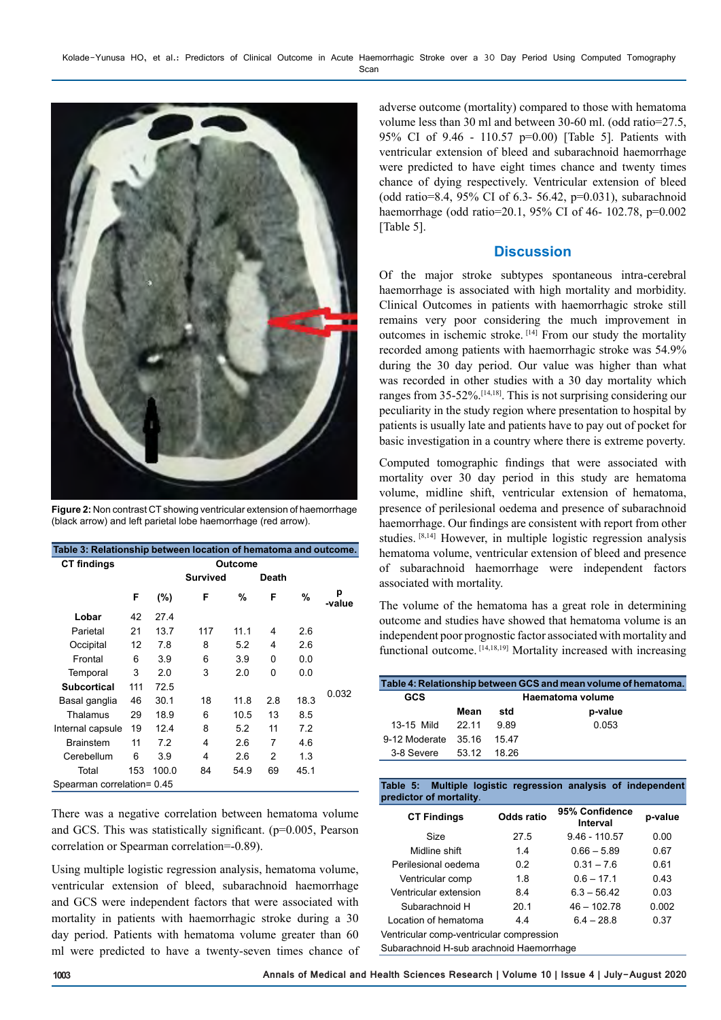

**Figure 2:** Non contrast CT showing ventricular extension of haemorrhage (black arrow) and left parietal lobe haemorrhage (red arrow).

| Table 3: Relationship between location of hematoma and outcome. |     |       |                 |      |          |      |             |  |
|-----------------------------------------------------------------|-----|-------|-----------------|------|----------|------|-------------|--|
| <b>CT findings</b>                                              |     |       | <b>Outcome</b>  |      |          |      |             |  |
|                                                                 |     |       | <b>Survived</b> |      | Death    |      |             |  |
|                                                                 | F   | (%)   | F               | %    | F        | %    | р<br>-value |  |
| Lobar                                                           | 42  | 27.4  |                 |      |          |      |             |  |
| Parietal                                                        | 21  | 13.7  | 117             | 11.1 | 4        | 2.6  |             |  |
| Occipital                                                       | 12  | 7.8   | 8               | 5.2  | 4        | 2.6  |             |  |
| Frontal                                                         | 6   | 3.9   | 6               | 3.9  | $\Omega$ | 0.0  |             |  |
| Temporal                                                        | 3   | 2.0   | 3               | 2.0  | 0        | 0.0  |             |  |
| <b>Subcortical</b>                                              | 111 | 72.5  |                 |      |          |      | 0.032       |  |
| Basal ganglia                                                   | 46  | 30.1  | 18              | 11.8 | 2.8      | 18.3 |             |  |
| Thalamus                                                        | 29  | 18.9  | 6               | 10.5 | 13       | 8.5  |             |  |
| Internal capsule                                                | 19  | 12.4  | 8               | 5.2  | 11       | 7.2  |             |  |
| <b>Brainstem</b>                                                | 11  | 7.2   | 4               | 2.6  | 7        | 4.6  |             |  |
| Cerebellum                                                      | 6   | 3.9   | 4               | 2.6  | 2        | 1.3  |             |  |
| Total                                                           | 153 | 100.0 | 84              | 54.9 | 69       | 45.1 |             |  |
| Spearman correlation= 0.45                                      |     |       |                 |      |          |      |             |  |

There was a negative correlation between hematoma volume and GCS. This was statistically significant. (p=0.005, Pearson correlation or Spearman correlation=-0.89).

Using multiple logistic regression analysis, hematoma volume, ventricular extension of bleed, subarachnoid haemorrhage and GCS were independent factors that were associated with mortality in patients with haemorrhagic stroke during a 30 day period. Patients with hematoma volume greater than 60 ml were predicted to have a twenty-seven times chance of

adverse outcome (mortality) compared to those with hematoma volume less than 30 ml and between 30-60 ml. (odd ratio=27.5, 95% CI of 9.46 - 110.57 p=0.00) [Table 5]. Patients with ventricular extension of bleed and subarachnoid haemorrhage were predicted to have eight times chance and twenty times chance of dying respectively. Ventricular extension of bleed (odd ratio=8.4, 95% CI of 6.3- 56.42, p=0.031), subarachnoid haemorrhage (odd ratio=20.1, 95% CI of 46- 102.78, p=0.002 [Table 5].

## **Discussion**

Of the major stroke subtypes spontaneous intra-cerebral haemorrhage is associated with high mortality and morbidity. Clinical Outcomes in patients with haemorrhagic stroke still remains very poor considering the much improvement in outcomes in ischemic stroke. [14] From our study the mortality recorded among patients with haemorrhagic stroke was 54.9% during the 30 day period. Our value was higher than what was recorded in other studies with a 30 day mortality which ranges from 35-52%.[14,18]. This is not surprising considering our peculiarity in the study region where presentation to hospital by patients is usually late and patients have to pay out of pocket for basic investigation in a country where there is extreme poverty.

Computed tomographic findings that were associated with mortality over 30 day period in this study are hematoma volume, midline shift, ventricular extension of hematoma, presence of perilesional oedema and presence of subarachnoid haemorrhage. Our findings are consistent with report from other studies. [8,14] However, in multiple logistic regression analysis hematoma volume, ventricular extension of bleed and presence of subarachnoid haemorrhage were independent factors associated with mortality.

The volume of the hematoma has a great role in determining outcome and studies have showed that hematoma volume is an independent poor prognostic factor associated with mortality and functional outcome. [14,18,19] Mortality increased with increasing

| Table 4: Relationship between GCS and mean volume of hematoma. |                  |       |         |  |  |  |
|----------------------------------------------------------------|------------------|-------|---------|--|--|--|
| GCS                                                            | Haematoma volume |       |         |  |  |  |
|                                                                | Mean             | std   | p-value |  |  |  |
| 13-15 Mild                                                     | 22 11            | 989   | 0.053   |  |  |  |
| 9-12 Moderate                                                  | -35 16           | 1547  |         |  |  |  |
| 3-8 Severe                                                     | 53.12            | 18.26 |         |  |  |  |

#### **Table 5: Multiple logistic regression analysis of independent predictor of mortality**.

| <b>CT Findings</b>                       | Odds ratio | 95% Confidence<br>Interval | p-value |  |  |  |
|------------------------------------------|------------|----------------------------|---------|--|--|--|
| <b>Size</b>                              | 27.5       | $9,46 - 110,57$            | 0.00    |  |  |  |
| Midline shift                            | 1.4        | $0.66 - 5.89$              | 0.67    |  |  |  |
| Perilesional oedema                      | 0.2        | $0.31 - 7.6$               | 0.61    |  |  |  |
| Ventricular comp                         | 1.8        | $0.6 - 17.1$               | 0.43    |  |  |  |
| Ventricular extension                    | 8.4        | $6.3 - 56.42$              | 0.03    |  |  |  |
| Subarachnoid H                           | 20.1       | $46 - 102.78$              | 0.002   |  |  |  |
| Location of hematoma                     | 44         | $64 - 288$                 | 0.37    |  |  |  |
| Ventricular comp-ventricular compression |            |                            |         |  |  |  |
| Subarachnoid H-sub arachnoid Haemorrhage |            |                            |         |  |  |  |

Subarachnoid H-sub arachnoid Haemorrhage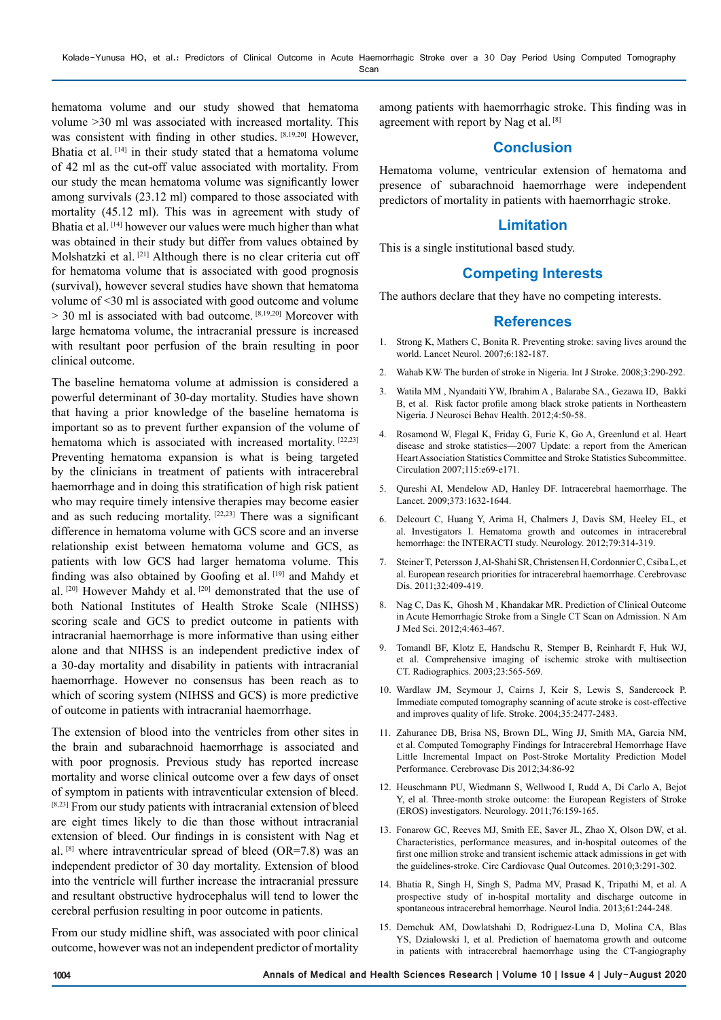hematoma volume and our study showed that hematoma volume >30 ml was associated with increased mortality. This was consistent with finding in other studies. [8,19,20] However, Bhatia et al. [14] in their study stated that a hematoma volume of 42 ml as the cut-off value associated with mortality. From our study the mean hematoma volume was significantly lower among survivals (23.12 ml) compared to those associated with mortality (45.12 ml). This was in agreement with study of Bhatia et al. [14] however our values were much higher than what was obtained in their study but differ from values obtained by Molshatzki et al. [21] Although there is no clear criteria cut off for hematoma volume that is associated with good prognosis (survival), however several studies have shown that hematoma volume of <30 ml is associated with good outcome and volume  $> 30$  ml is associated with bad outcome. [8,19,20] Moreover with large hematoma volume, the intracranial pressure is increased with resultant poor perfusion of the brain resulting in poor clinical outcome.

The baseline hematoma volume at admission is considered a powerful determinant of 30-day mortality. Studies have shown that having a prior knowledge of the baseline hematoma is important so as to prevent further expansion of the volume of hematoma which is associated with increased mortality. [22,23] Preventing hematoma expansion is what is being targeted by the clinicians in treatment of patients with intracerebral haemorrhage and in doing this stratification of high risk patient who may require timely intensive therapies may become easier and as such reducing mortality. [22,23] There was a significant difference in hematoma volume with GCS score and an inverse relationship exist between hematoma volume and GCS, as patients with low GCS had larger hematoma volume. This finding was also obtained by Goofing et al. [19] and Mahdy et al. [20] However Mahdy et al. [20] demonstrated that the use of both National Institutes of Health Stroke Scale (NIHSS) scoring scale and GCS to predict outcome in patients with intracranial haemorrhage is more informative than using either alone and that NIHSS is an independent predictive index of a 30-day mortality and disability in patients with intracranial haemorrhage. However no consensus has been reach as to which of scoring system (NIHSS and GCS) is more predictive of outcome in patients with intracranial haemorrhage.

The extension of blood into the ventricles from other sites in the brain and subarachnoid haemorrhage is associated and with poor prognosis. Previous study has reported increase mortality and worse clinical outcome over a few days of onset of symptom in patients with intraventicular extension of bleed. [8,23] From our study patients with intracranial extension of bleed are eight times likely to die than those without intracranial extension of bleed. Our findings in is consistent with Nag et al.  $[8]$  where intraventricular spread of bleed (OR=7.8) was an independent predictor of 30 day mortality. Extension of blood into the ventricle will further increase the intracranial pressure and resultant obstructive hydrocephalus will tend to lower the cerebral perfusion resulting in poor outcome in patients.

From our study midline shift, was associated with poor clinical outcome, however was not an independent predictor of mortality among patients with haemorrhagic stroke. This finding was in agreement with report by Nag et al. [8]

## **Conclusion**

Hematoma volume, ventricular extension of hematoma and presence of subarachnoid haemorrhage were independent predictors of mortality in patients with haemorrhagic stroke.

## **Limitation**

This is a single institutional based study.

## **Competing Interests**

The authors declare that they have no competing interests.

#### **References**

- 1. Strong K, Mathers C, Bonita R. Preventing stroke: saving lives around the world. Lancet Neurol. 2007;6:182-187.
- 2. [Wahab KW](https://www.ncbi.nlm.nih.gov/pubmed/?term=Wahab KW%5BAuthor%5D&cauthor=true&cauthor_uid=18811746). The burden of stroke in Nigeria. [Int J Stroke.](https://www.ncbi.nlm.nih.gov/pubmed/18811746) 2008;3:290-292.
- 3. Watila MM , Nyandaiti YW, Ibrahim A , Balarabe SA., Gezawa ID, Bakki B, et al. Risk factor profile among black stroke patients in Northeastern Nigeria. J Neurosci Behav Health. 2012;4:50-58.
- 4. Rosamond W, Flegal K, Friday G, Furie K, Go A, Greenlund et al. Heart disease and stroke statistics—2007 Update: a report from the American Heart Association Statistics Committee and Stroke Statistics Subcommittee. Circulation 2007;115:e69-e171.
- 5. Qureshi AI, Mendelow AD, Hanley DF. Intracerebral haemorrhage. The Lancet. 2009;373:1632-1644.
- 6. Delcourt C, Huang Y, Arima H, Chalmers J, Davis SM, Heeley EL, et al. Investigators I. Hematoma growth and outcomes in intracerebral hemorrhage: the INTERACTI study. Neurology. 2012;79:314-319.
- 7. Steiner T, Petersson J, Al-Shahi SR, Christensen H, Cordonnier C, Csiba L, et al. European research priorities for intracerebral haemorrhage. Cerebrovasc Dis. 2011;32:409-419.
- 8. Nag C, Das K, Ghosh M , Khandakar MR. Prediction of Clinical Outcome in Acute Hemorrhagic Stroke from a Single CT Scan on Admission. N Am J Med Sci. 2012;4:463-467.
- 9. Tomandl BF, Klotz E, Handschu R, Stemper B, Reinhardt F, Huk WJ, et al. Comprehensive imaging of ischemic stroke with multisection CT. Radiographics. 2003;23:565-569.
- 10. Wardlaw JM, Seymour J, Cairns J, Keir S, Lewis S, Sandercock P. Immediate computed tomography scanning of acute stroke is cost-effective and improves quality of life. Stroke. 2004;35:2477-2483.
- 11. Zahuranec DB, Brisa NS, Brown DL, Wing JJ, Smith MA, Garcia NM, et al. Computed Tomography Findings for Intracerebral Hemorrhage Have Little Incremental Impact on Post-Stroke Mortality Prediction Model Performance. Cerebrovasc Dis 2012;34:86-92
- 12. Heuschmann PU, Wiedmann S, Wellwood I, Rudd A, Di Carlo A, Bejot Y, el al. Three-month stroke outcome: the European Registers of Stroke (EROS) investigators. Neurology. 2011;76:159-165.
- 13. Fonarow GC, Reeves MJ, Smith EE, Saver JL, Zhao X, Olson DW, et al. Characteristics, performance measures, and in-hospital outcomes of the first one million stroke and transient ischemic attack admissions in get with the guidelines-stroke. Circ Cardiovasc Qual Outcomes. 2010;3:291-302.
- 14. Bhatia R, Singh H, Singh S, Padma MV, Prasad K, Tripathi M, et al. A prospective study of in-hospital mortality and discharge outcome in spontaneous intracerebral hemorrhage. Neurol India. 2013;61:244-248.
- 15. Demchuk AM, Dowlatshahi D, Rodriguez-Luna D, Molina CA, Blas YS, Dzialowski I, et al. Prediction of haematoma growth and outcome in patients with intracerebral haemorrhage using the CT-angiography